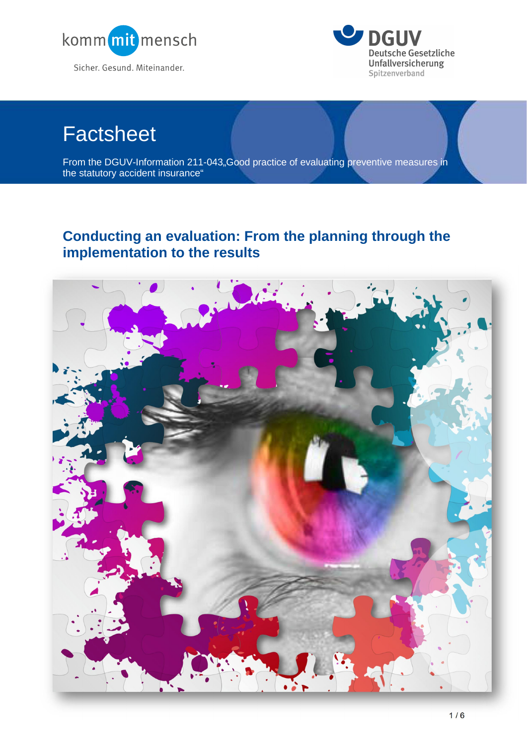



# **Factsheet**

From the DGUV-Information 211-043, Good practice of evaluating preventive measures in the statutory accident insurance"

# **Conducting an evaluation: From the planning through the implementation to the results**

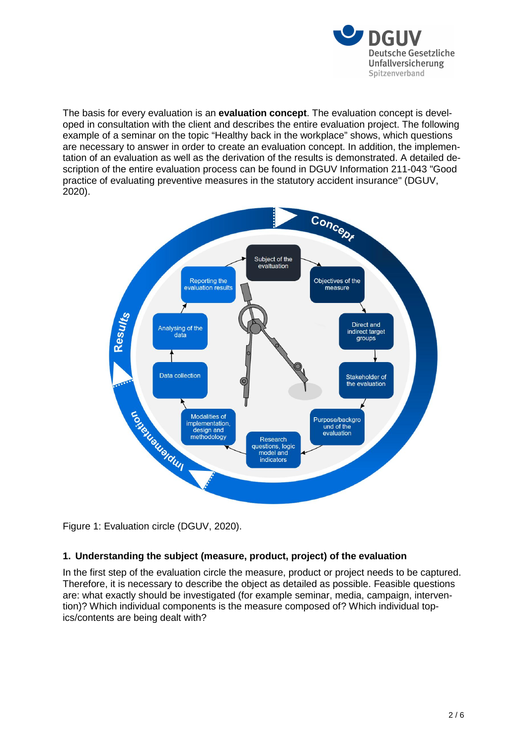![](_page_1_Picture_0.jpeg)

The basis for every evaluation is an **evaluation concept**. The evaluation concept is developed in consultation with the client and describes the entire evaluation project. The following example of a seminar on the topic "Healthy back in the workplace" shows, which questions are necessary to answer in order to create an evaluation concept. In addition, the implementation of an evaluation as well as the derivation of the results is demonstrated. A detailed description of the entire evaluation process can be found in DGUV Information 211-043 "Good practice of evaluating preventive measures in the statutory accident insurance" (DGUV, 2020).

![](_page_1_Figure_2.jpeg)

Figure 1: Evaluation circle (DGUV, 2020).

# **1. Understanding the subject (measure, product, project) of the evaluation**

In the first step of the evaluation circle the measure, product or project needs to be captured. Therefore, it is necessary to describe the object as detailed as possible. Feasible questions are: what exactly should be investigated (for example seminar, media, campaign, intervention)? Which individual components is the measure composed of? Which individual topics/contents are being dealt with?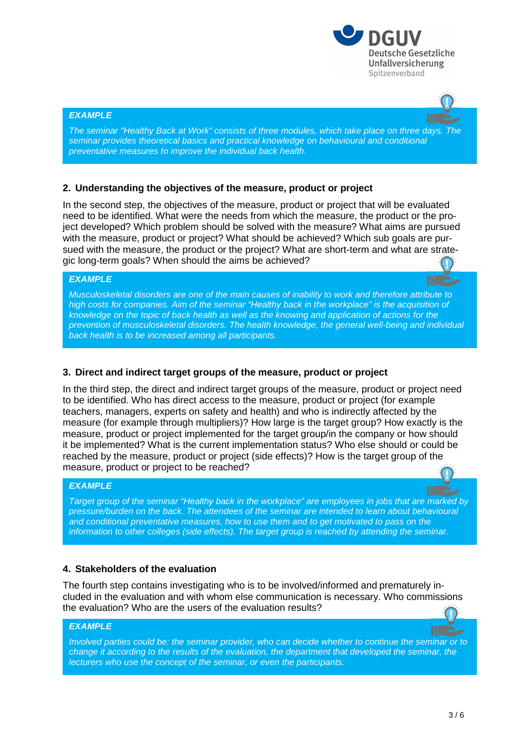![](_page_2_Picture_0.jpeg)

#### *EXAMPLE*

*The seminar "Healthy Back at Work" consists of three modules, which take place on three days. The seminar provides theoretical basics and practical knowledge on behavioural and conditional preventative measures to improve the individual back health.*

#### **2. Understanding the objectives of the measure, product or project**

In the second step, the objectives of the measure, product or project that will be evaluated need to be identified. What were the needs from which the measure, the product or the project developed? Which problem should be solved with the measure? What aims are pursued with the measure, product or project? What should be achieved? Which sub goals are pursued with the measure, the product or the project? What are short-term and what are strategic long-term goals? When should the aims be achieved?

#### *EXAMPLE*

*Musculoskeletal disorders are one of the main causes of inability to work and therefore attribute to high costs for companies. Aim of the seminar "Healthy back in the workplace" is the acquisition of knowledge on the topic of back health as well as the knowing and application of actions for the prevention of musculoskeletal disorders. The health knowledge, the general well-being and individual back health is to be increased among all participants.* 

#### **3. Direct and indirect target groups of the measure, product or project**

In the third step, the direct and indirect target groups of the measure, product or project need to be identified. Who has direct access to the measure, product or project (for example teachers, managers, experts on safety and health) and who is indirectly affected by the measure (for example through multipliers)? How large is the target group? How exactly is the measure, product or project implemented for the target group/in the company or how should it be implemented? What is the current implementation status? Who else should or could be reached by the measure, product or project (side effects)? How is the target group of the measure, product or project to be reached?

#### *EXAMPLE*

*Target group of the seminar "Healthy back in the workplace" are employees in jobs that are marked by pressure/burden on the back. The attendees of the seminar are intended to learn about behavioural and conditional preventative measures, how to use them and to get motivated to pass on the information to other colleges (side effects). The target group is reached by attending the seminar.*

#### **4. Stakeholders of the evaluation**

The fourth step contains investigating who is to be involved/informed and prematurely included in the evaluation and with whom else communication is necessary. Who commissions the evaluation? Who are the users of the evaluation results?

#### *EXAMPLE*

*Involved parties could be: the seminar provider, who can decide whether to continue the seminar or to change it according to the results of the evaluation, the department that developed the seminar, the lecturers who use the concept of the seminar, or even the participants.*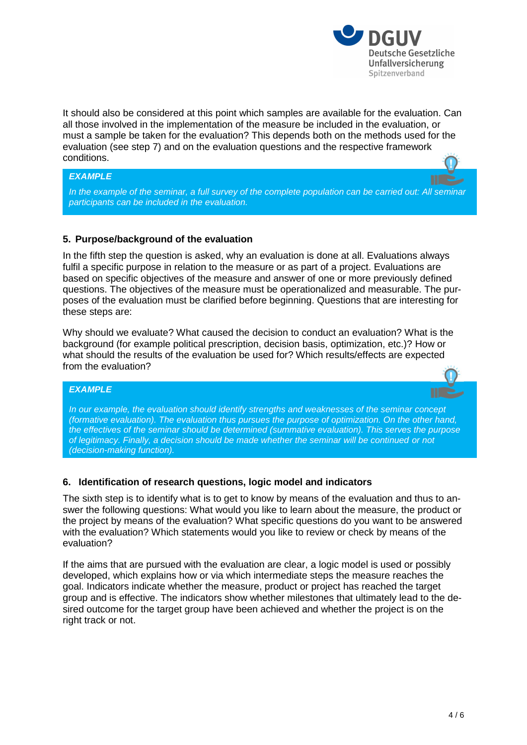![](_page_3_Picture_0.jpeg)

It should also be considered at this point which samples are available for the evaluation. Can all those involved in the implementation of the measure be included in the evaluation, or must a sample be taken for the evaluation? This depends both on the methods used for the evaluation (see step 7) and on the evaluation questions and the respective framework conditions.

#### *EXAMPLE*

*In the example of the seminar, a full survey of the complete population can be carried out: All seminar participants can be included in the evaluation.*

# **5. Purpose/background of the evaluation**

In the fifth step the question is asked, why an evaluation is done at all. Evaluations always fulfil a specific purpose in relation to the measure or as part of a project. Evaluations are based on specific objectives of the measure and answer of one or more previously defined questions. The objectives of the measure must be operationalized and measurable. The purposes of the evaluation must be clarified before beginning. Questions that are interesting for these steps are:

Why should we evaluate? What caused the decision to conduct an evaluation? What is the background (for example political prescription, decision basis, optimization, etc.)? How or what should the results of the evaluation be used for? Which results/effects are expected from the evaluation?

# *EXAMPLE*

*In our example, the evaluation should identify strengths and weaknesses of the seminar concept (formative evaluation). The evaluation thus pursues the purpose of optimization. On the other hand, the effectives of the seminar should be determined (summative evaluation). This serves the purpose of legitimacy. Finally, a decision should be made whether the seminar will be continued or not (decision-making function).*

### **6. Identification of research questions, logic model and indicators**

The sixth step is to identify what is to get to know by means of the evaluation and thus to answer the following questions: What would you like to learn about the measure, the product or the project by means of the evaluation? What specific questions do you want to be answered with the evaluation? Which statements would you like to review or check by means of the evaluation?

If the aims that are pursued with the evaluation are clear, a logic model is used or possibly developed, which explains how or via which intermediate steps the measure reaches the goal. Indicators indicate whether the measure, product or project has reached the target group and is effective. The indicators show whether milestones that ultimately lead to the desired outcome for the target group have been achieved and whether the project is on the right track or not.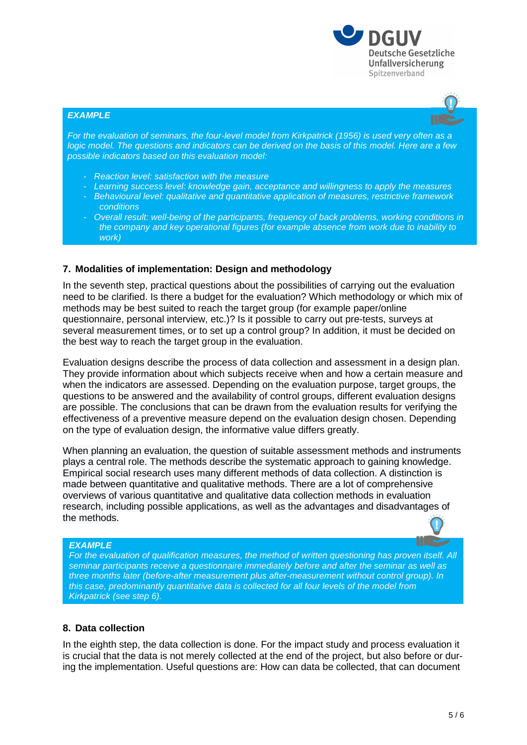![](_page_4_Picture_0.jpeg)

#### *EXAMPLE*

*For the evaluation of seminars, the four-level model from Kirkpatrick (1956) is used very often as a logic model. The questions and indicators can be derived on the basis of this model. Here are a few possible indicators based on this evaluation model:*

- *Reaction level: satisfaction with the measure*
- *Learning success level: knowledge gain, acceptance and willingness to apply the measures*
- *Behavioural level: qualitative and quantitative application of measures, restrictive framework conditions*
- *Overall result: well-being of the participants, frequency of back problems, working conditions in the company and key operational figures (for example absence from work due to inability to work)*

#### **7. Modalities of implementation: Design and methodology**

In the seventh step, practical questions about the possibilities of carrying out the evaluation need to be clarified. Is there a budget for the evaluation? Which methodology or which mix of methods may be best suited to reach the target group (for example paper/online questionnaire, personal interview, etc.)? Is it possible to carry out pre-tests, surveys at several measurement times, or to set up a control group? In addition, it must be decided on the best way to reach the target group in the evaluation.

Evaluation designs describe the process of data collection and assessment in a design plan. They provide information about which subjects receive when and how a certain measure and when the indicators are assessed. Depending on the evaluation purpose, target groups, the questions to be answered and the availability of control groups, different evaluation designs are possible. The conclusions that can be drawn from the evaluation results for verifying the effectiveness of a preventive measure depend on the evaluation design chosen. Depending on the type of evaluation design, the informative value differs greatly.

When planning an evaluation, the question of suitable assessment methods and instruments plays a central role. The methods describe the systematic approach to gaining knowledge. Empirical social research uses many different methods of data collection. A distinction is made between quantitative and qualitative methods. There are a lot of comprehensive overviews of various quantitative and qualitative data collection methods in evaluation research, including possible applications, as well as the advantages and disadvantages of the methods.

#### *EXAMPLE*

For the evaluation of qualification measures, the method of written questioning has proven itself. All *seminar participants receive a questionnaire immediately before and after the seminar as well as three months later (before-after measurement plus after-measurement without control group). In this case, predominantly quantitative data is collected for all four levels of the model from Kirkpatrick (see step 6).*

#### **8. Data collection**

In the eighth step, the data collection is done. For the impact study and process evaluation it is crucial that the data is not merely collected at the end of the project, but also before or during the implementation. Useful questions are: How can data be collected, that can document